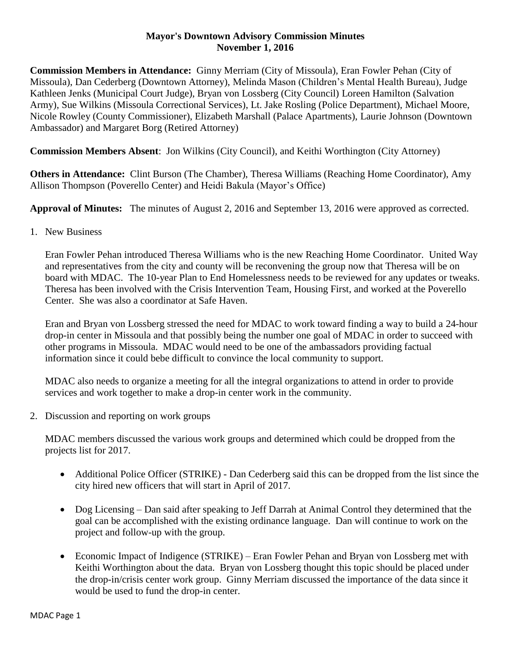## **Mayor's Downtown Advisory Commission Minutes November 1, 2016**

**Commission Members in Attendance:** Ginny Merriam (City of Missoula), Eran Fowler Pehan (City of Missoula), Dan Cederberg (Downtown Attorney), Melinda Mason (Children's Mental Health Bureau), Judge Kathleen Jenks (Municipal Court Judge), Bryan von Lossberg (City Council) Loreen Hamilton (Salvation Army), Sue Wilkins (Missoula Correctional Services), Lt. Jake Rosling (Police Department), Michael Moore, Nicole Rowley (County Commissioner), Elizabeth Marshall (Palace Apartments), Laurie Johnson (Downtown Ambassador) and Margaret Borg (Retired Attorney)

**Commission Members Absent**: Jon Wilkins (City Council), and Keithi Worthington (City Attorney)

**Others in Attendance:** Clint Burson (The Chamber), Theresa Williams (Reaching Home Coordinator), Amy Allison Thompson (Poverello Center) and Heidi Bakula (Mayor's Office)

**Approval of Minutes:** The minutes of August 2, 2016 and September 13, 2016 were approved as corrected.

1. New Business

Eran Fowler Pehan introduced Theresa Williams who is the new Reaching Home Coordinator. United Way and representatives from the city and county will be reconvening the group now that Theresa will be on board with MDAC. The 10-year Plan to End Homelessness needs to be reviewed for any updates or tweaks. Theresa has been involved with the Crisis Intervention Team, Housing First, and worked at the Poverello Center. She was also a coordinator at Safe Haven.

Eran and Bryan von Lossberg stressed the need for MDAC to work toward finding a way to build a 24-hour drop-in center in Missoula and that possibly being the number one goal of MDAC in order to succeed with other programs in Missoula. MDAC would need to be one of the ambassadors providing factual information since it could bebe difficult to convince the local community to support.

MDAC also needs to organize a meeting for all the integral organizations to attend in order to provide services and work together to make a drop-in center work in the community.

2. Discussion and reporting on work groups

MDAC members discussed the various work groups and determined which could be dropped from the projects list for 2017.

- Additional Police Officer (STRIKE) Dan Cederberg said this can be dropped from the list since the city hired new officers that will start in April of 2017.
- Dog Licensing Dan said after speaking to Jeff Darrah at Animal Control they determined that the goal can be accomplished with the existing ordinance language. Dan will continue to work on the project and follow-up with the group.
- Economic Impact of Indigence (STRIKE) Eran Fowler Pehan and Bryan von Lossberg met with Keithi Worthington about the data. Bryan von Lossberg thought this topic should be placed under the drop-in/crisis center work group. Ginny Merriam discussed the importance of the data since it would be used to fund the drop-in center.